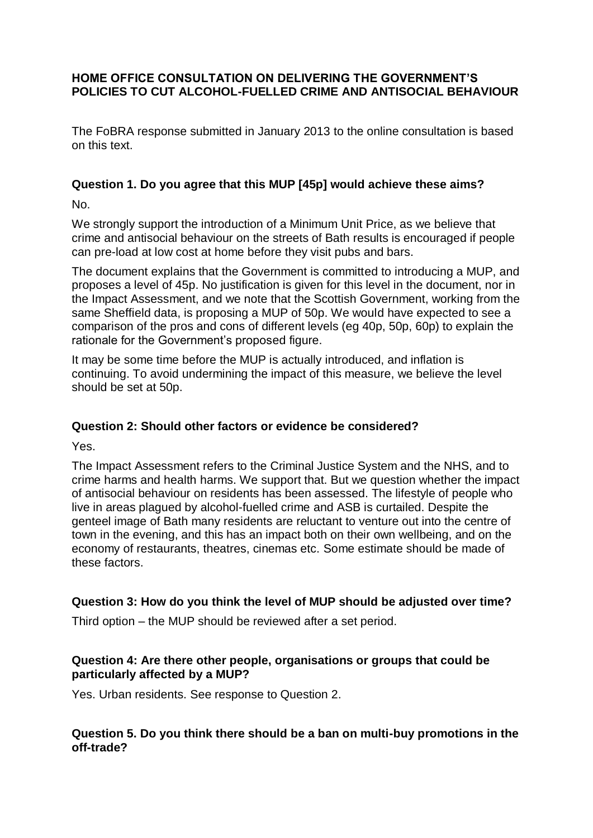# **HOME OFFICE CONSULTATION ON DELIVERING THE GOVERNMENT'S POLICIES TO CUT ALCOHOL-FUELLED CRIME AND ANTISOCIAL BEHAVIOUR**

The FoBRA response submitted in January 2013 to the online consultation is based on this text.

# **Question 1. Do you agree that this MUP [45p] would achieve these aims?**

No.

We strongly support the introduction of a Minimum Unit Price, as we believe that crime and antisocial behaviour on the streets of Bath results is encouraged if people can pre-load at low cost at home before they visit pubs and bars.

The document explains that the Government is committed to introducing a MUP, and proposes a level of 45p. No justification is given for this level in the document, nor in the Impact Assessment, and we note that the Scottish Government, working from the same Sheffield data, is proposing a MUP of 50p. We would have expected to see a comparison of the pros and cons of different levels (eg 40p, 50p, 60p) to explain the rationale for the Government's proposed figure.

It may be some time before the MUP is actually introduced, and inflation is continuing. To avoid undermining the impact of this measure, we believe the level should be set at 50p.

# **Question 2: Should other factors or evidence be considered?**

Yes.

The Impact Assessment refers to the Criminal Justice System and the NHS, and to crime harms and health harms. We support that. But we question whether the impact of antisocial behaviour on residents has been assessed. The lifestyle of people who live in areas plagued by alcohol-fuelled crime and ASB is curtailed. Despite the genteel image of Bath many residents are reluctant to venture out into the centre of town in the evening, and this has an impact both on their own wellbeing, and on the economy of restaurants, theatres, cinemas etc. Some estimate should be made of these factors.

## **Question 3: How do you think the level of MUP should be adjusted over time?**

Third option – the MUP should be reviewed after a set period.

## **Question 4: Are there other people, organisations or groups that could be particularly affected by a MUP?**

Yes. Urban residents. See response to Question 2.

# **Question 5. Do you think there should be a ban on multi-buy promotions in the off-trade?**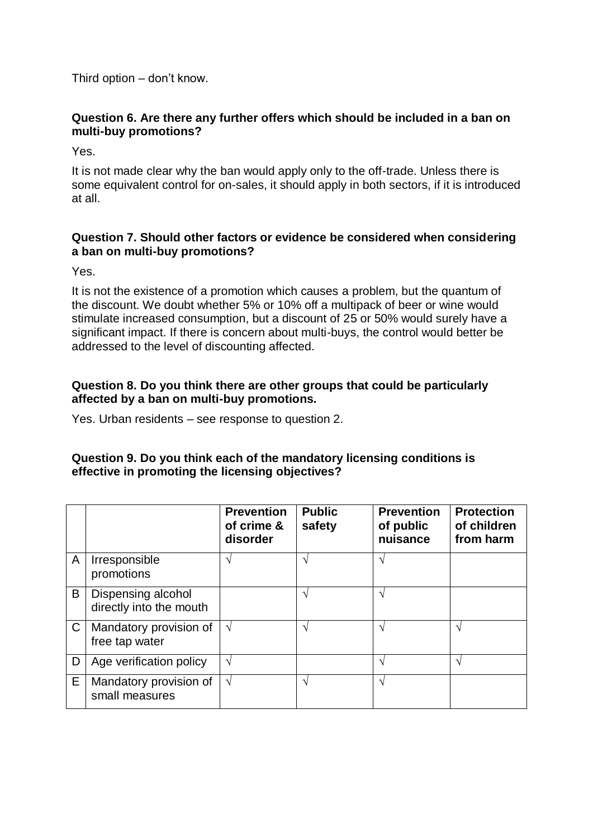Third option – don't know.

# **Question 6. Are there any further offers which should be included in a ban on multi-buy promotions?**

Yes.

It is not made clear why the ban would apply only to the off-trade. Unless there is some equivalent control for on-sales, it should apply in both sectors, if it is introduced at all.

# **Question 7. Should other factors or evidence be considered when considering a ban on multi-buy promotions?**

Yes.

It is not the existence of a promotion which causes a problem, but the quantum of the discount. We doubt whether 5% or 10% off a multipack of beer or wine would stimulate increased consumption, but a discount of 25 or 50% would surely have a significant impact. If there is concern about multi-buys, the control would better be addressed to the level of discounting affected.

## **Question 8. Do you think there are other groups that could be particularly affected by a ban on multi-buy promotions.**

Yes. Urban residents – see response to question 2.

# **Question 9. Do you think each of the mandatory licensing conditions is effective in promoting the licensing objectives?**

|    |                                               | <b>Prevention</b><br>of crime &<br>disorder | <b>Public</b><br>safety | <b>Prevention</b><br>of public<br>nuisance | <b>Protection</b><br>of children<br>from harm |
|----|-----------------------------------------------|---------------------------------------------|-------------------------|--------------------------------------------|-----------------------------------------------|
| A  | Irresponsible<br>promotions                   | ٦                                           | ٦                       |                                            |                                               |
| B  | Dispensing alcohol<br>directly into the mouth |                                             | $\mathbf \Lambda$       |                                            |                                               |
| C  | Mandatory provision of<br>free tap water      | $\mathcal{N}$                               | ٦                       |                                            |                                               |
| D  | Age verification policy                       | V                                           |                         |                                            | ٦Ι                                            |
| E. | Mandatory provision of<br>small measures      | $\sqrt{ }$                                  | ٦                       |                                            |                                               |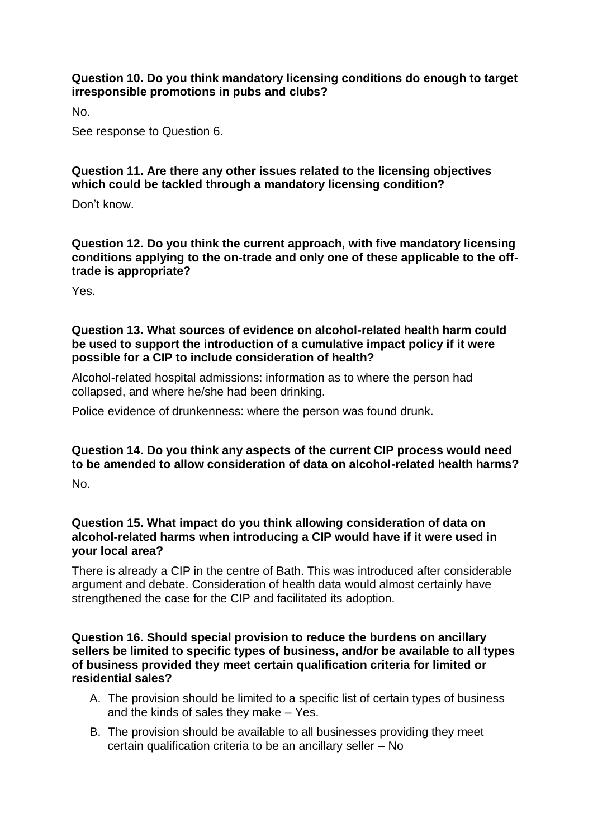## **Question 10. Do you think mandatory licensing conditions do enough to target irresponsible promotions in pubs and clubs?**

No.

See response to Question 6.

# **Question 11. Are there any other issues related to the licensing objectives which could be tackled through a mandatory licensing condition?**

Don't know.

**Question 12. Do you think the current approach, with five mandatory licensing conditions applying to the on-trade and only one of these applicable to the offtrade is appropriate?** 

Yes.

## **Question 13. What sources of evidence on alcohol-related health harm could be used to support the introduction of a cumulative impact policy if it were possible for a CIP to include consideration of health?**

Alcohol-related hospital admissions: information as to where the person had collapsed, and where he/she had been drinking.

Police evidence of drunkenness: where the person was found drunk.

# **Question 14. Do you think any aspects of the current CIP process would need to be amended to allow consideration of data on alcohol-related health harms?**

No.

# **Question 15. What impact do you think allowing consideration of data on alcohol-related harms when introducing a CIP would have if it were used in your local area?**

There is already a CIP in the centre of Bath. This was introduced after considerable argument and debate. Consideration of health data would almost certainly have strengthened the case for the CIP and facilitated its adoption.

#### **Question 16. Should special provision to reduce the burdens on ancillary sellers be limited to specific types of business, and/or be available to all types of business provided they meet certain qualification criteria for limited or residential sales?**

- A. The provision should be limited to a specific list of certain types of business and the kinds of sales they make – Yes.
- B. The provision should be available to all businesses providing they meet certain qualification criteria to be an ancillary seller – No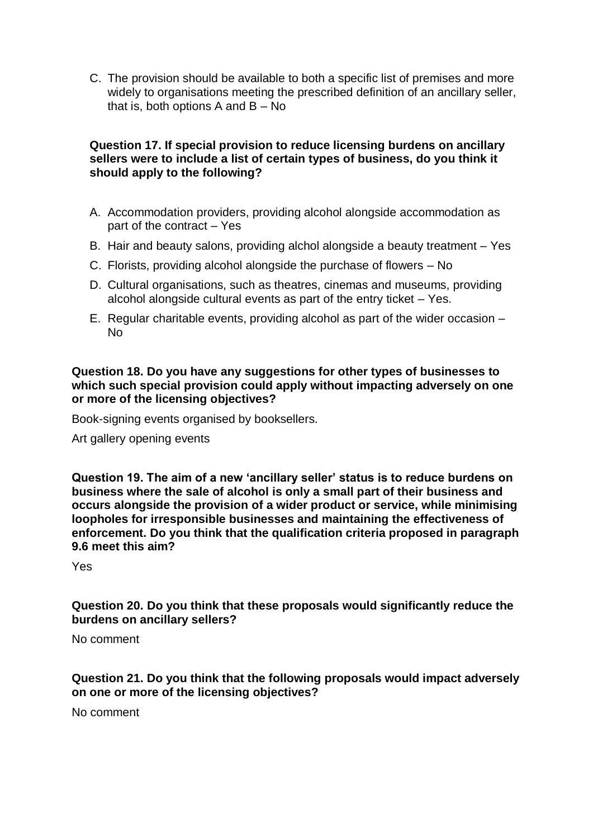C. The provision should be available to both a specific list of premises and more widely to organisations meeting the prescribed definition of an ancillary seller, that is, both options A and B – No

# **Question 17. If special provision to reduce licensing burdens on ancillary sellers were to include a list of certain types of business, do you think it should apply to the following?**

- A. Accommodation providers, providing alcohol alongside accommodation as part of the contract – Yes
- B. Hair and beauty salons, providing alchol alongside a beauty treatment Yes
- C. Florists, providing alcohol alongside the purchase of flowers No
- D. Cultural organisations, such as theatres, cinemas and museums, providing alcohol alongside cultural events as part of the entry ticket – Yes.
- E. Regular charitable events, providing alcohol as part of the wider occasion No

#### **Question 18. Do you have any suggestions for other types of businesses to which such special provision could apply without impacting adversely on one or more of the licensing objectives?**

Book-signing events organised by booksellers.

Art gallery opening events

**Question 19. The aim of a new 'ancillary seller' status is to reduce burdens on business where the sale of alcohol is only a small part of their business and occurs alongside the provision of a wider product or service, while minimising loopholes for irresponsible businesses and maintaining the effectiveness of enforcement. Do you think that the qualification criteria proposed in paragraph 9.6 meet this aim?** 

Yes

## **Question 20. Do you think that these proposals would significantly reduce the burdens on ancillary sellers?**

No comment

## **Question 21. Do you think that the following proposals would impact adversely on one or more of the licensing objectives?**

No comment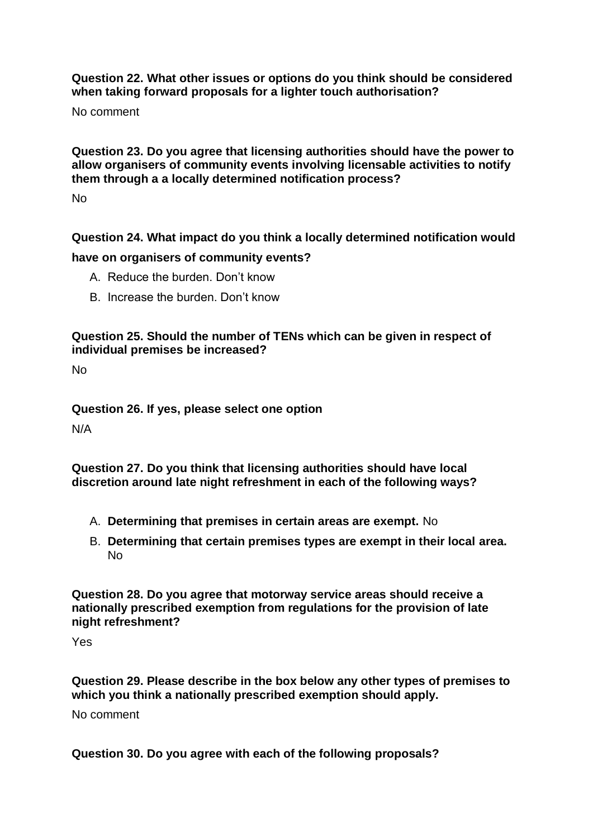**Question 22. What other issues or options do you think should be considered when taking forward proposals for a lighter touch authorisation?**

No comment

**Question 23. Do you agree that licensing authorities should have the power to allow organisers of community events involving licensable activities to notify them through a a locally determined notification process?** 

No

**Question 24. What impact do you think a locally determined notification would** 

## **have on organisers of community events?**

- A. Reduce the burden. Don't know
- B. Increase the burden. Don't know

# **Question 25. Should the number of TENs which can be given in respect of individual premises be increased?**

 $N<sub>0</sub>$ 

**Question 26. If yes, please select one option**

N/A

**Question 27. Do you think that licensing authorities should have local discretion around late night refreshment in each of the following ways?**

- A. **Determining that premises in certain areas are exempt.** No
- B. **Determining that certain premises types are exempt in their local area.**  No

**Question 28. Do you agree that motorway service areas should receive a nationally prescribed exemption from regulations for the provision of late night refreshment?**

Yes

**Question 29. Please describe in the box below any other types of premises to which you think a nationally prescribed exemption should apply.** 

No comment

**Question 30. Do you agree with each of the following proposals?**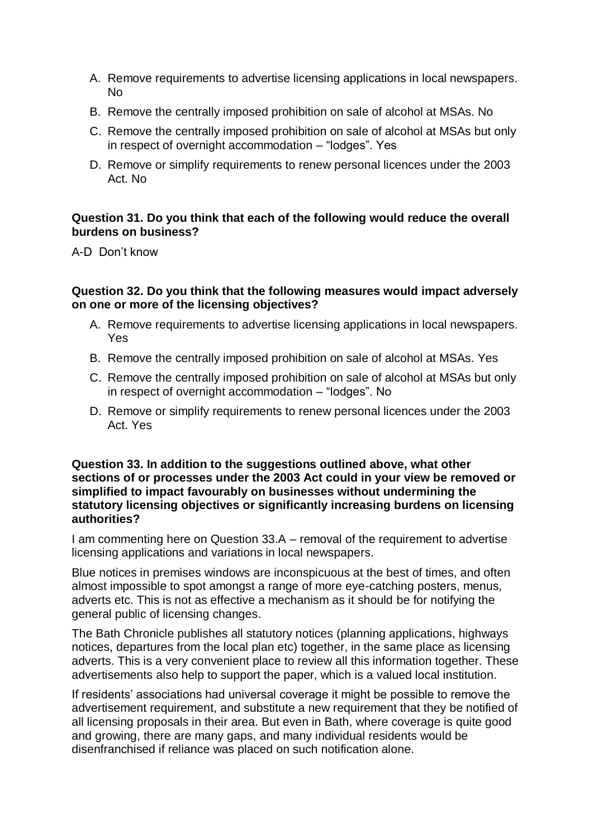- A. Remove requirements to advertise licensing applications in local newspapers. No
- B. Remove the centrally imposed prohibition on sale of alcohol at MSAs. No
- C. Remove the centrally imposed prohibition on sale of alcohol at MSAs but only in respect of overnight accommodation – "lodges". Yes
- D. Remove or simplify requirements to renew personal licences under the 2003 Act. No

# **Question 31. Do you think that each of the following would reduce the overall burdens on business?**

A-D Don't know

# **Question 32. Do you think that the following measures would impact adversely on one or more of the licensing objectives?**

- A. Remove requirements to advertise licensing applications in local newspapers. Yes
- B. Remove the centrally imposed prohibition on sale of alcohol at MSAs. Yes
- C. Remove the centrally imposed prohibition on sale of alcohol at MSAs but only in respect of overnight accommodation – "lodges". No
- D. Remove or simplify requirements to renew personal licences under the 2003 Act. Yes

#### **Question 33. In addition to the suggestions outlined above, what other sections of or processes under the 2003 Act could in your view be removed or simplified to impact favourably on businesses without undermining the statutory licensing objectives or significantly increasing burdens on licensing authorities?**

I am commenting here on Question 33.A – removal of the requirement to advertise licensing applications and variations in local newspapers.

Blue notices in premises windows are inconspicuous at the best of times, and often almost impossible to spot amongst a range of more eye-catching posters, menus, adverts etc. This is not as effective a mechanism as it should be for notifying the general public of licensing changes.

The Bath Chronicle publishes all statutory notices (planning applications, highways notices, departures from the local plan etc) together, in the same place as licensing adverts. This is a very convenient place to review all this information together. These advertisements also help to support the paper, which is a valued local institution.

If residents' associations had universal coverage it might be possible to remove the advertisement requirement, and substitute a new requirement that they be notified of all licensing proposals in their area. But even in Bath, where coverage is quite good and growing, there are many gaps, and many individual residents would be disenfranchised if reliance was placed on such notification alone.